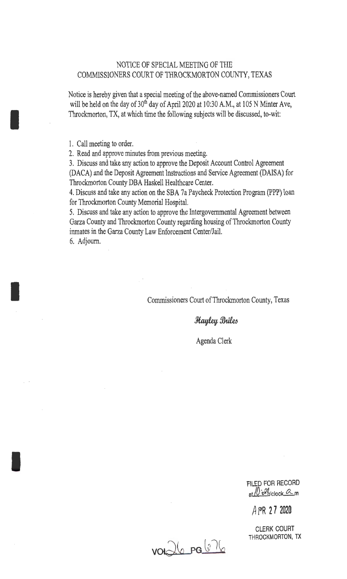### NOTICE OF SPECIAL MEETING OF THE COMMISSIONERS COURT OF THROCKMORTON COUNTY, TEXAS

Notice is hereby given that a special meeting of the above-named Commissioners Court will be held on the day of 30<sup>th</sup> day of April 2020 at 10:30 A.M., at 105 N Minter Ave, Throckmorton, TX, at which time the following subjects will be discussed, to-wit:

1. Call meeting to order.

I

I

I

2. Read and approve minutes from previous meeting.

3. Discuss and take any action to approve the Deposit Account Control Agreement (DACA) and the Deposit Agreement Instructions and Service Agreement (DAISA) for Throckmorton County DBA Haskell Healthcare Center.

4. Discuss and take any action on the SBA 7a Paycheck Protection Program (PPP) loan for Throckmorton County Memorial Hospital.

5. Discuss and take any action to approve the Intergovernmental Agreement between Garza County and Throckmorton County regarding housing of Throckmorton County inmates in the Garza County Law Enforcement Center/Jail.

6. Adjourn.

Commissioners Court of Throckmorton County, Texas

**Hayley Briles** 

Agenda Clerk

FILED FOR RECORD at /0 2% clock am

A FR **2 7 2020** 

CLERK COURT THROCKMORTON, TX

voielle pa 676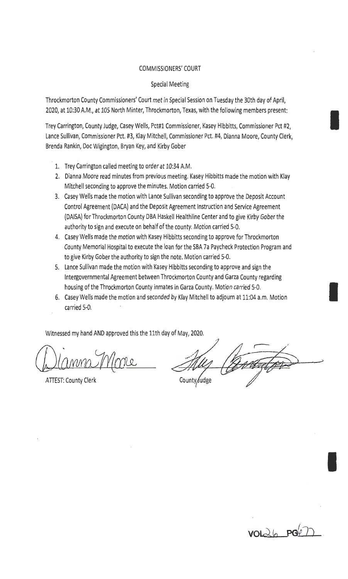### COMMISSIONERS' COURT

#### Special Meeting

Throckmorton County Commissioners' Court met in Special Session on Tuesday the 30th day of April, 2020, at 10:30 A.M., at 105 North Minter, Throckmorton, Texas, with the following members present:

Trey Carrington, County Judge, Casey Wells, Pct#l Commissioner, Kasey Hibbitts, Commissioner Pct #2, Lance Sullivan, Commissioner Pct. #3, Klay Mitchell, Commissioner Pct. #4, Dianna Moore, County Clerk, Brenda Rankin, Doc Wigington, Bryan Key, and Kirby Gober

- 1. Trey Carrington called meeting to order at 10:34 A.M.
- 2. Dianna Moore read minutes from previous meeting. Kasey Hibbitts made the motion with Klay Mitchell seconding to approve the minutes. Motion carried 5-0.
- 3. Casey Wells made the motion with Lance Sullivan seconding to approve the Deposit Account Control Agreement (DACA) and the Deposit Agreement Instruction and Service Agreement (DAISA) for Throckmorton County DBA Haskell Healthline Center and to give Kirby Gober the authority to sign and execute on behalf of the county. Motion carried 5-0.
- 4. Casey Wells made the motion with Kasey Hibbitts seconding to approve for Throckmorton County Memorial Hospital to execute the loan for the SBA 7a Paycheck Protection Program and to give Kirby Gober the authority to sign the note. Motion carried 5-0.
- 5. Lance Sullivan made the motion with Kasey Hibbitts seconding to approve and sign the Intergovernmental Agreement between Throckmorton County and Garza County regarding housing of the Throckmorton County inmates in Garza County. Motion carried 5-0.
- 6. Casey Wells made the motion and seconded by Klay Mitchell to adjourn at 11:04 a.m. Motion carried 5-0.

Witnessed my hand AND approved this the 11th day of May, 2020.

ATTEST: County Clerk

County Judge



I

I

I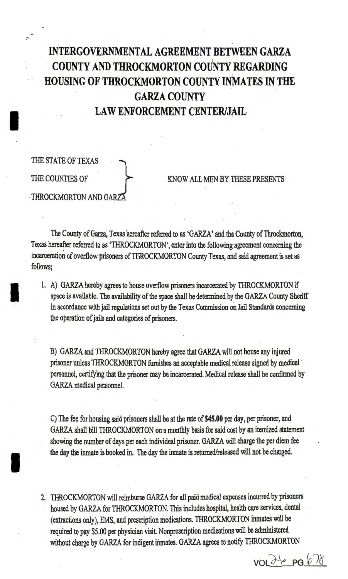## INTERGOVERNMENTAL AGREEMENT BETWEEN GARZA COUNTY AND THROCKMORTON couNTY:REGARDING HOUSING OF THROCKMORTON COUNTY INMATES IN THE GARZA COUNTY LAW ENFORCEMENT CENTER/JAIL

# THE STATE OF TEXAS THE COUNTIES OF THROCKMORTON AND GAR2

I

..

I

I

### KNOW ALL MEN BY THESE PRESENTS

The County of Garza, Texas hereafter referred to as 'GARZA' and the County of Throckmorton, Texas hereafter referred to as 'THROCKMORTON', enter into the following agreement concerning the incarceration of overflow prisoners of THROCKMORTON County Texas, and said agreement is set as follows;

1. A) GARZA hereby agrees to house overflow prisoners incarcerated by THROCKMORTON if space is available. The availability of the space shall be determined by the GARZA County Sheriff in accordance with jail regulations set out by the Texas Commission on Jail Standards concerning the operation of jails and categories of prisoners.

B) GARZA and THROCKMORTON hereby agree that GARZA will not house any injured prisoner unless THROCKMORTON furnishes an acceptable medical release signed by medical personnel, certifying that the prisoner may be incarcerated. Medical release shall be confirmed by GARZA medical personnel.

C) The fee for housing said prisoners shall be at the rate of \$45.00 per day, per prisoner, and GARZA shall bill THROCKMORTON on a monthly basis for said cost by an itemized statement showing the number of days per each individual prisoner. GARZA will charge the per diem fee the day the inmate is booked in. The day the inmate is returned/released will not be charged.

2. THROCKMORTON will reimburse GARZA for all paid medical expenses incurred by prisoners housed by GARZA for THROCKMORTON. This inciudes hospital, health care services, dental (extractions only), EMS, and prescription medications. THROCKMORTON inmates will be . required to pay \$5.00 per physician visit Nonprescription medications will be administered without charge by GARZA for indigent inmates. GARZA agrees to notify THROCKMORTON

 $VOL$   $\rightarrow$   $PG(6)$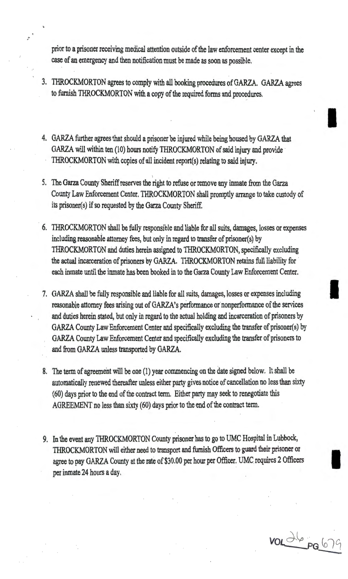prior to a prisoner receiving medical attention outside of the law enforcement center except in the case of an emergency and then notification must be made as soon as possible.

3. THROCKMORTON agrees to comply with all booking procedures of GARZA. GARZA agrees to furnish THROCKMORTON with a copy of the required forms and procedures.

I

I

voldbeg 670

- 4. GARZA further agrees that should a prisoner be injured while being housed by GARZA that GARZA will within ten (10) hours notify THROCKMORTON of said injury and provide THROCKMORTON with copies of all incident report(s) relating to said injury.
- 5. The Garza County Sheriff reserves the right to refuse or remove any inmate from the Garza County Law Enforcement Center. THROCKMORTON shall promptly arrange to take custody of its prisoner(s) if so requested by the Garza County Sheriff.
- 6. THROCKMORTON shall be fully responsible and liable for all suits, damages, losses or expenses including reasonable attorney fees, but only in regard to transfer of prisoner(s) by THROCKMORTON and duties herein assigned to THROCKMORTON, specifically excluding the actual incarceration of prisoners by GARZA. THROCKMORTON retains full liability for · each inmate until the inmate has been booked in to the Garza County Law Enforcement Center.
- 7. GARZA shall be fully responsible and liable for all suits, damages, losses or expenses including reasonable attorney fees arising out of GARZA's performance or' nonperformance of the services and duties herein stated, but only in regard to the actual holding and incarceration of prisoners by GARZA County Law Enforcement Center and specifically excluding the transfer of prisoner(s) by GARZA County Law Enforcement Center and specifically excluding the transfer of prisoners to and from GARZA unless transported by GARZA.
- 8. The term of agreement will be one (1) year commencing on the date signed below. It shall be automatically renewed thereafter unless either party gives notice of cancellation no less than sixty  $(60)$  days prior to the end of the contract term. Either party may seek to renegotiate this AGREEMENT no less than sixty (60) days prior to the end of the contract term.
- 9. In the event any THROCKMORTON County prisoner has to go to UMC Hospital in Lubbock, THROCKMORTON will either need to transport and furnish Officers to guard their prisoner or agree to pay GARZA County at the rate of \$30.00 per hour per Officer. UMC requires 2 Officers per inmate 24 hours a day.